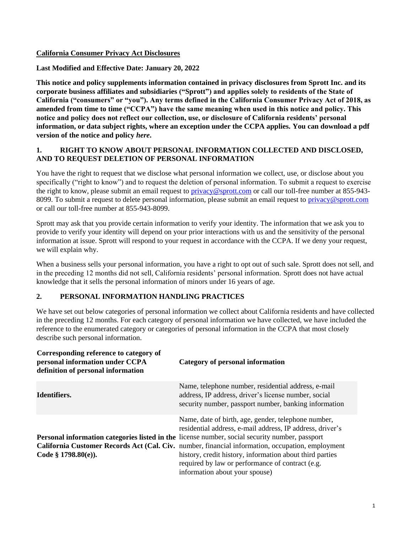#### **California Consumer Privacy Act Disclosures**

#### **Last Modified and Effective Date: January 20, 2022**

**This notice and policy supplements information contained in privacy disclosures from Sprott Inc. and its corporate business affiliates and subsidiaries ("Sprott") and applies solely to residents of the State of California ("consumers" or "you"). Any terms defined in the California Consumer Privacy Act of 2018, as amended from time to time ("CCPA") have the same meaning when used in this notice and policy. This notice and policy does not reflect our collection, use, or disclosure of California residents' personal information, or data subject rights, where an exception under the CCPA applies. You can download a pdf version of the notice and policy** *here***.**

### **1. RIGHT TO KNOW ABOUT PERSONAL INFORMATION COLLECTED AND DISCLOSED, AND TO REQUEST DELETION OF PERSONAL INFORMATION**

You have the right to request that we disclose what personal information we collect, use, or disclose about you specifically ("right to know") and to request the deletion of personal information. To submit a request to exercise the right to know, please submit an email request to [privacy@sprott.com](mailto:privacy@sprott.com) or call our toll-free number at 855-9438099. To submit a request to delete personal information, please submit an email request to [privacy@sprott.com](mailto:privacy@sprott.com) or call our toll-free number at 855-943-8099.

Sprott may ask that you provide certain information to verify your identity. The information that we ask you to provide to verify your identity will depend on your prior interactions with us and the sensitivity of the personal information at issue. Sprott will respond to your request in accordance with the CCPA. If we deny your request, we will explain why.

When a business sells your personal information, you have a right to opt out of such sale. Sprott does not sell, and in the preceding 12 months did not sell, California residents' personal information. Sprott does not have actual knowledge that it sells the personal information of minors under 16 years of age.

### **2. PERSONAL INFORMATION HANDLING PRACTICES**

We have set out below categories of personal information we collect about California residents and have collected in the preceding 12 months. For each category of personal information we have collected, we have included the reference to the enumerated category or categories of personal information in the CCPA that most closely describe such personal information.

| Corresponding reference to category of<br>personal information under CCPA<br>definition of personal information | Category of personal information                                                                                                                                                                                                                                                                                                                                                                                                                                                |
|-----------------------------------------------------------------------------------------------------------------|---------------------------------------------------------------------------------------------------------------------------------------------------------------------------------------------------------------------------------------------------------------------------------------------------------------------------------------------------------------------------------------------------------------------------------------------------------------------------------|
| Identifiers.                                                                                                    | Name, telephone number, residential address, e-mail<br>address, IP address, driver's license number, social<br>security number, passport number, banking information                                                                                                                                                                                                                                                                                                            |
| Code § $1798.80(e)$ ).                                                                                          | Name, date of birth, age, gender, telephone number,<br>residential address, e-mail address, IP address, driver's<br><b>Personal information categories listed in the license number, social security number, passport</b><br>California Customer Records Act (Cal. Civ. number, financial information, occupation, employment<br>history, credit history, information about third parties<br>required by law or performance of contract (e.g.<br>information about your spouse) |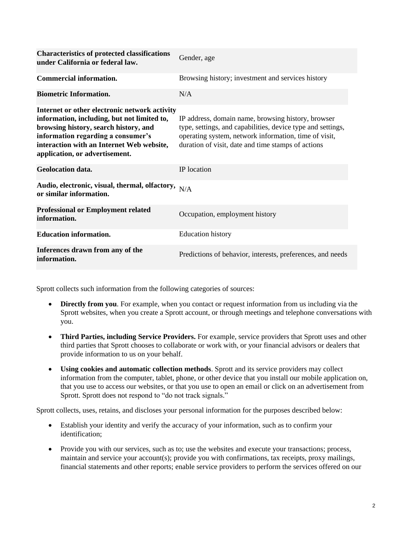| <b>Characteristics of protected classifications</b><br>under California or federal law.                                                                                                                                                                    | Gender, age                                                                                                                                                                                                                      |
|------------------------------------------------------------------------------------------------------------------------------------------------------------------------------------------------------------------------------------------------------------|----------------------------------------------------------------------------------------------------------------------------------------------------------------------------------------------------------------------------------|
| <b>Commercial information.</b>                                                                                                                                                                                                                             | Browsing history; investment and services history                                                                                                                                                                                |
| <b>Biometric Information.</b>                                                                                                                                                                                                                              | N/A                                                                                                                                                                                                                              |
| Internet or other electronic network activity<br>information, including, but not limited to,<br>browsing history, search history, and<br>information regarding a consumer's<br>interaction with an Internet Web website,<br>application, or advertisement. | IP address, domain name, browsing history, browser<br>type, settings, and capabilities, device type and settings,<br>operating system, network information, time of visit,<br>duration of visit, date and time stamps of actions |
| <b>Geolocation data.</b>                                                                                                                                                                                                                                   | IP location                                                                                                                                                                                                                      |
| Audio, electronic, visual, thermal, olfactory, $N/A$<br>or similar information.                                                                                                                                                                            |                                                                                                                                                                                                                                  |
| <b>Professional or Employment related</b><br>information.                                                                                                                                                                                                  | Occupation, employment history                                                                                                                                                                                                   |
| <b>Education information.</b>                                                                                                                                                                                                                              | <b>Education</b> history                                                                                                                                                                                                         |
| Inferences drawn from any of the<br>information.                                                                                                                                                                                                           | Predictions of behavior, interests, preferences, and needs                                                                                                                                                                       |

Sprott collects such information from the following categories of sources:

- **Directly from you**. For example, when you contact or request information from us including via the Sprott websites, when you create a Sprott account, or through meetings and telephone conversations with you.
- **Third Parties, including Service Providers.** For example, service providers that Sprott uses and other third parties that Sprott chooses to collaborate or work with, or your financial advisors or dealers that provide information to us on your behalf.
- **Using cookies and automatic collection methods**. Sprott and its service providers may collect information from the computer, tablet, phone, or other device that you install our mobile application on, that you use to access our websites, or that you use to open an email or click on an advertisement from Sprott. Sprott does not respond to "do not track signals."

Sprott collects, uses, retains, and discloses your personal information for the purposes described below:

- Establish your identity and verify the accuracy of your information, such as to confirm your identification;
- Provide you with our services, such as to; use the websites and execute your transactions; process, maintain and service your account(s); provide you with confirmations, tax receipts, proxy mailings, financial statements and other reports; enable service providers to perform the services offered on our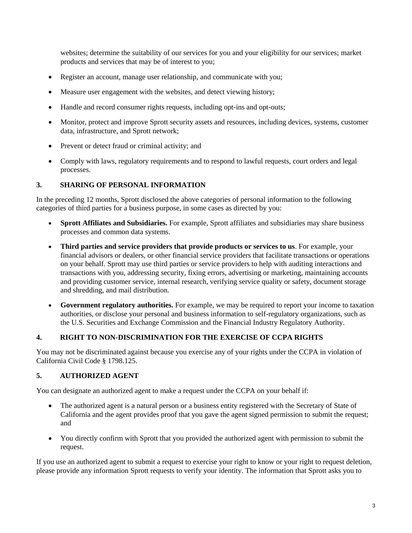websites; determine the suitability of our services for you and your eligibility for our services; market products and services that may be of interest to you;

- Register an account, manage user relationship, and communicate with you;
- Measure user engagement with the websites, and detect viewing history;
- Handle and record consumer rights requests, including opt-ins and opt-outs;
- Monitor, protect and improve Sprott security assets and resources, including devices, systems, customer data, infrastructure, and Sprott network;
- Prevent or detect fraud or criminal activity; and
- Comply with laws, regulatory requirements and to respond to lawful requests, court orders and legal processes.

# **3. SHARING OF PERSONAL INFORMATION**

In the preceding 12 months, Sprott disclosed the above categories of personal information to the following categories of third parties for a business purpose, in some cases as directed by you:

- **Sprott Affiliates and Subsidiaries.** For example, Sprott affiliates and subsidiaries may share business processes and common data systems.
- **Third parties and service providers that provide products or services to us**. For example, your financial advisors or dealers, or other financial service providers that facilitate transactions or operations on your behalf. Sprott may use third parties or service providers to help with auditing interactions and transactions with you, addressing security, fixing errors, advertising or marketing, maintaining accounts and providing customer service, internal research, verifying service quality or safety, document storage and shredding, and mail distribution.
- **Government regulatory authorities.** For example, we may be required to report your income to taxation authorities, or disclose your personal and business information to self-regulatory organizations, such as the U.S. Securities and Exchange Commission and the Financial Industry Regulatory Authority.

# **4. RIGHT TO NON-DISCRIMINATION FOR THE EXERCISE OF CCPA RIGHTS**

You may not be discriminated against because you exercise any of your rights under the CCPA in violation of California Civil Code § 1798.125.

# **5. AUTHORIZED AGENT**

You can designate an authorized agent to make a request under the CCPA on your behalf if:

- The authorized agent is a natural person or a business entity registered with the Secretary of State of California and the agent provides proof that you gave the agent signed permission to submit the request; and
- You directly confirm with Sprott that you provided the authorized agent with permission to submit the request.

If you use an authorized agent to submit a request to exercise your right to know or your right to request deletion, please provide any information Sprott requests to verify your identity. The information that Sprott asks you to